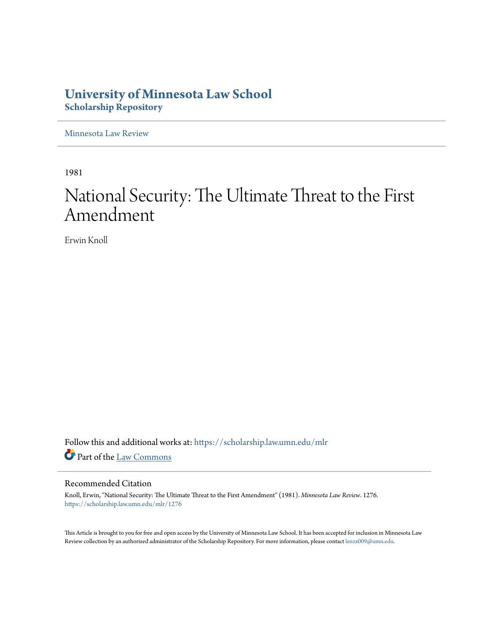## **University of Minnesota Law School [Scholarship Repository](https://scholarship.law.umn.edu?utm_source=scholarship.law.umn.edu%2Fmlr%2F1276&utm_medium=PDF&utm_campaign=PDFCoverPages)**

[Minnesota Law Review](https://scholarship.law.umn.edu/mlr?utm_source=scholarship.law.umn.edu%2Fmlr%2F1276&utm_medium=PDF&utm_campaign=PDFCoverPages)

1981

# National Security: The Ultimate Threat to the First Amendment

Erwin Knoll

Follow this and additional works at: [https://scholarship.law.umn.edu/mlr](https://scholarship.law.umn.edu/mlr?utm_source=scholarship.law.umn.edu%2Fmlr%2F1276&utm_medium=PDF&utm_campaign=PDFCoverPages) Part of the [Law Commons](http://network.bepress.com/hgg/discipline/578?utm_source=scholarship.law.umn.edu%2Fmlr%2F1276&utm_medium=PDF&utm_campaign=PDFCoverPages)

#### Recommended Citation

Knoll, Erwin, "National Security: The Ultimate Threat to the First Amendment" (1981). *Minnesota Law Review*. 1276. [https://scholarship.law.umn.edu/mlr/1276](https://scholarship.law.umn.edu/mlr/1276?utm_source=scholarship.law.umn.edu%2Fmlr%2F1276&utm_medium=PDF&utm_campaign=PDFCoverPages)

This Article is brought to you for free and open access by the University of Minnesota Law School. It has been accepted for inclusion in Minnesota Law Review collection by an authorized administrator of the Scholarship Repository. For more information, please contact [lenzx009@umn.edu.](mailto:lenzx009@umn.edu)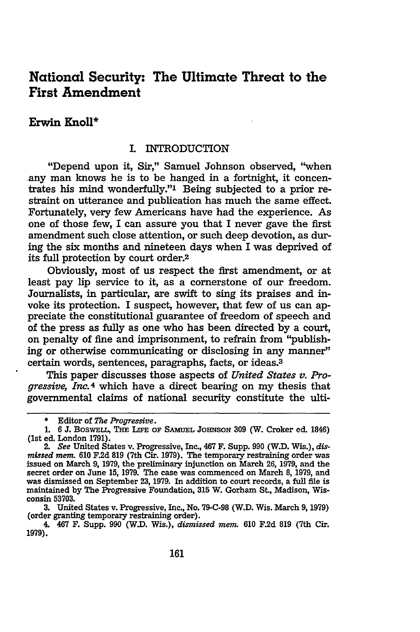### National Security: The Ultimate Threat to the First Amendment

#### Erwin **Knoll\***

#### **I.** INTRODUCTION

"Depend upon it, Sir," Samuel Johnson observed, "when -any man knows he is to be hanged in a fortnight, it concentrates his mind wonderfully."' Being subjected to a prior restraint on utterance and publication has much the same effect. Fortunately, very few Americans have had the experience. As one of those few, I can assure you that I never gave the first amendment such close attention, or such deep devotion, as during the six months and nineteen days when I was deprived of its full protection **by** court order.2

Obviously, most of us respect the first amendment, or at least pay **lip** service to it, as a cornerstone of our freedom. Journalists, in particular, are swift to sing its praises and invoke its protection. I suspect, however, that few of us can appreciate the constitutional guarantee of freedom of speech and of the press as fully as one who has been directed **by** a court, on penalty of fine and imprisonment, to refrain from "publishing or otherwise communicating or disclosing in any manner" certain words, sentences, paragraphs, facts, or ideas.3

This paper discusses those aspects of *United States v. Progressive, InC.4* which have a direct bearing on my thesis that governmental claims of national security constitute the ulti-

**<sup>\*</sup>** Editor of *The Progressive.*

**<sup>1.</sup>** *6* **J.** BoswELL, **THE LIFE OF SAMUEL** JOHNSON **309** (W. Croker ed. 1846) (1st ed. London **1791).**

<sup>2.</sup> *See* United States v. Progressive, Inc., 467 F. Supp. **990 (W.D.** Wis.), *dismissed mem.* **610 F.2d 819** (7th Cir. **1979).** The temporary restraining order was issued on March **9, 1979,** the preliminary injunction on March **26, 1979,** and the secret order on June **15, 1979.** The case was commenced on March **8, 1979,** and was dismissed on September **23, 1979.** In addition to court records, a **full file** is maintained **by** The Progressive Foundation, **315** W. Gorham St., Madison, Wisconsin **53703.**

**<sup>3.</sup>** United States v. Progressive, Inc., No. **79-C-98** (W.D. Wis. March **9, 1979)** (order granting temporary restraining order).

<sup>4. 467</sup> F. Supp. **990** (W.D. Wis.), *dismissed mem.* **610 F.2d 819** (7th Cir. **1979).**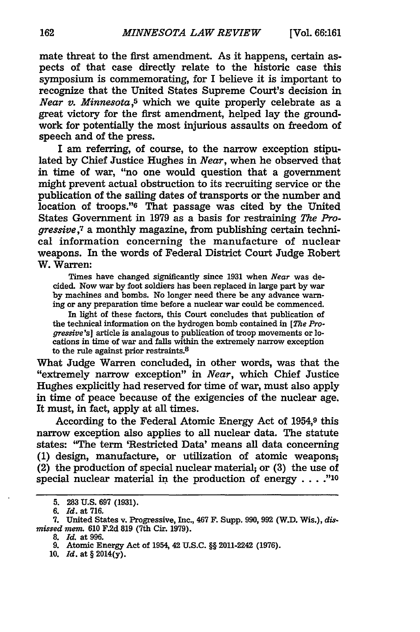mate threat to the first amendment. As it happens, certain aspects of that case directly relate to the historic case this symposium is commemorating, for I believe it is important to recognize that the United States Supreme Court's decision in *Near v. Minnesota,5* which we quite properly celebrate as a great victory for the first amendment, helped lay the groundwork for potentially the most injurious assaults on freedom of speech and of the press.

I am referring, of course, to the narrow exception stipulated **by** Chief Justice Hughes in *Near,* when he observed that in time of war, "no one would question that a government might prevent actual obstruction to its recruiting service or the publication of the sailing dates of transports or the number and location of troops."<sup>6</sup> That passage was cited by the United States Government in **1979** as a basis for restraining *The Progressive,7* a monthly magazine, from publishing certain technical information concerning the manufacture of nuclear weapons. In the words of Federal District Court Judge Robert W. Warren:

Times have changed significantly since **1931** when *Near* was decided. Now war by foot soldiers has been replaced in large part by war by machines and bombs. No longer need there be any advance warning or any preparation time before a nuclear war could be commenced.

In light of these factors, this Court concludes that publication of the technical information on the hydrogen bomb contained in *[The Progressive's]* article is analagous to publication of troop movements or locations in time of war and falls within the extremely narrow exception to the rule against prior restraints.<sup>8</sup>

What Judge Warren concluded, in other words, was that the "extremely narrow exception" in *Near,* which Chief Justice Hughes explicitly had reserved for time of war, must also apply in time of peace because of the exigencies of the nuclear age. It must, in fact, apply at all times.

According to the Federal Atomic Energy Act of 1954,9 this narrow exception also applies to all nuclear data. The statute states: 'The term 'Restricted Data' means all data concerning (1) design, manufacture, or utilization of atomic weapons (2) the production of special nuclear material; or (3) the use of special nuclear material in the production of energy . . . ."<sup>10</sup>

**<sup>5. 283</sup> U.S. 697 (1931).**

*<sup>6.</sup> Id.* at **716.**

**<sup>7.</sup>** United States v. Progressive, Inc., 467 F. Supp. **990, 992** (W.D. Wis.), *dismissed mem.* **610 F.2d 819** (7th Cir. **1979).**

**<sup>8.</sup>** *Id.* at **996.**

**<sup>9.</sup>** Atomic Energy Act of 1954, 42 **U.S.C.** §§ 2011-2242 **(1976).**

**<sup>10.</sup>** *Id.* at § **2014(y).**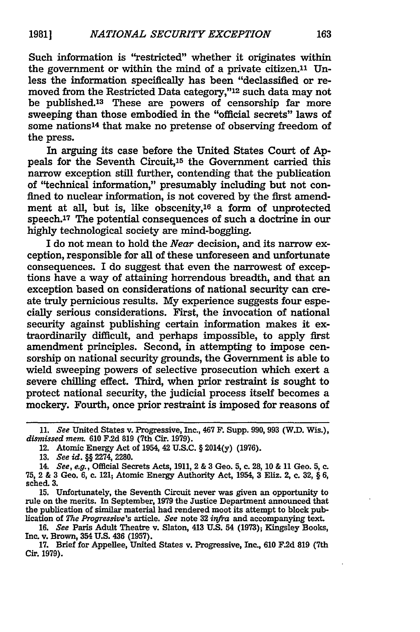Such information is "restricted" whether it originates within the government or within the mind of a private citizen.<sup>11</sup> Unless the information specifically has been "declassified or removed from the Restricted Data category,"12 such data may not be published.13 These are powers of censorship far more sweeping than those embodied in the "official secrets" laws of some nations<sup>14</sup> that make no pretense of observing freedom of the press.

In arguing its case before the United States Court of **Ap**peals for the Seventh Circuit,<sup>15</sup> the Government carried this narrow exception still further, contending that the publication of "technical information," presumably including but not confined to nuclear information, is not covered **by** the first amendment at all, but is, like obscenity,16 a form of unprotected speech.<sup>17</sup> The potential consequences of such a doctrine in our highly technological society are mind-boggling.

I do not mean to hold the *Near* decision, and its narrow exception, responsible for all of these unforeseen and unfortunate consequences. I do suggest that even the narrowest of exceptions have a way of attaining horrendous breadth, and that an exception based on considerations of national security can create truly pernicious results. **My** experience suggests four especially serious considerations. First, the invocation of national security against publishing certain information makes it extraordinarily difficult, and perhaps impossible, to apply first amendment principles. Second, in attempting to impose censorship on national security grounds, the Government is able to wield sweeping powers of selective prosecution which exert a severe chilling effect. Third, when prior restraint is sought to protect national security, the judicial process itself becomes a mockery. Fourth, once prior restraint is imposed for reasons of

**15.** Unfortunately, the Seventh Circuit never was given an opportunity to rule on the merits. In September, **1979** the Justice Department announced that the publication of similar material had rendered moot its attempt to block publication of *The Progressive's article. See* note **32** *infra* and accompanying text.

**16.** *See* Paris Adult Theatre v. Slaton, 413 **U.S.** 54 **(1973);** Kingsley Books, Inc. v. Brown, 354 **U.S.** 436 **(1957).**

**17.** Brief for Appellee, United States v. Progressive, Inc., **610 F.2d 819** (7th Cir. **1979).**

*<sup>11.</sup> See* United States v. Progressive, Inc., 467 F. Supp. **990, 993 (W.D.** Wis.), *dismissed me.* **610 F.2d 819** (7th **Cir. 1979).**

<sup>12.</sup> Atomic Energy Act of 1954, 42 **U.S.C.** § **2014(y) (1976).**

**<sup>13.</sup>** *See id.* §§ 2274, **2280.**

*<sup>14.</sup> See, e.g.,* Official Secrets Acts, 1911, 2 & **3** Geo. **5, c. 28, 10** & 11 Geo. **5, c. 75,** 2 & **3** Geo. **6, c.** 121; Atomic Energy Authority Act, 1954, **3** Eliz. 2, c. **32,** § **6,** sched. **3.**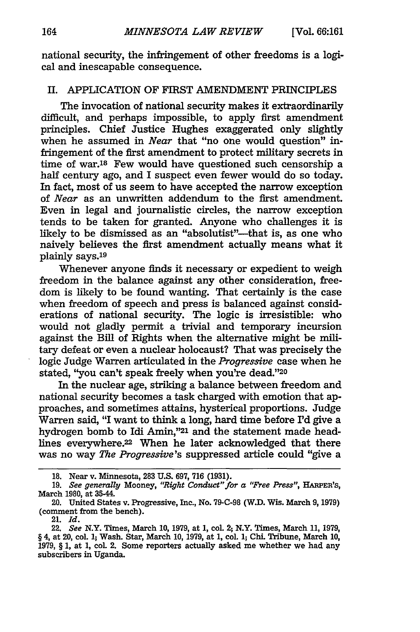national security, the infringement of other freedoms is a logical and inescapable consequence.

#### II. APPLICATION OF FIRST AMENDMENT PRINCIPLES

The invocation of national security makes it extraordinarily difficult, and perhaps impossible, to apply first amendment principles. Chief Justice Hughes exaggerated only slightly when he assumed in *Near* that "no one would question" infringement of the first amendment to protect military secrets in time of war.18 Few would have questioned such censorship a half century ago, and I suspect even fewer would do so today. In fact, most of us seem to have accepted the narrow exception of *Near* as an unwritten addendum to the first amendment. Even in legal and journalistic circles, the narrow exception tends to be taken for granted. Anyone who challenges it is likely to be dismissed as an "absolutist"—that is, as one who naively believes the first amendment actually means what it plainly says.19

Whenever anyone finds it necessary or expedient to weigh freedom in the balance against any other consideration, freedom is likely to be found wanting. That certainly is the case when freedom of speech and press is balanced against considerations of national security. The logic is irresistible: who would not gladly permit a trivial and temporary incursion against the Bill of Rights when the alternative might be military defeat or even a nuclear holocaust? That was precisely the logic Judge Warren articulated in the Progressive case when he stated, "you can't speak freely when you're dead."20

In the nuclear age, striking a balance between freedom and national security becomes a task charged with emotion that approaches, and sometimes attains, hysterical proportions. Judge Warren said, "I want to think a long, hard time before I'd give a hydrogen bomb to Idi Amin,"21 and the statement made headlines everywhere.22 When he later acknowledged that there was no way *The Progressive's* suppressed article could "give a

<sup>18.</sup> Near v. Minnesota, 283 **U.S.** 697, **716** (1931).

**<sup>19.</sup>** *See generally* Mooney, *"Right Conduct" for a "Free Press",* **HARPER'S,** March 1980, at 35-44.

<sup>20.</sup> United States v. Progressive, Inc., No. 79-C-98 (W.D. Wis. March 9, 1979) (comment from the bench).

<sup>21.</sup> *Id.*

<sup>22.</sup> *See* N.Y. Times, March **10,** 1979, at 1, col 2; N.Y. Times, March **11,** 1979, § 4, at 20, col. **1;** Wash. Star, March 10, 1979, at 1, col **1; Chi.** Tribune, March 10, 1979, § 1, at 1, coL 2. Some reporters actually asked me whether we had any subscribers in Uganda.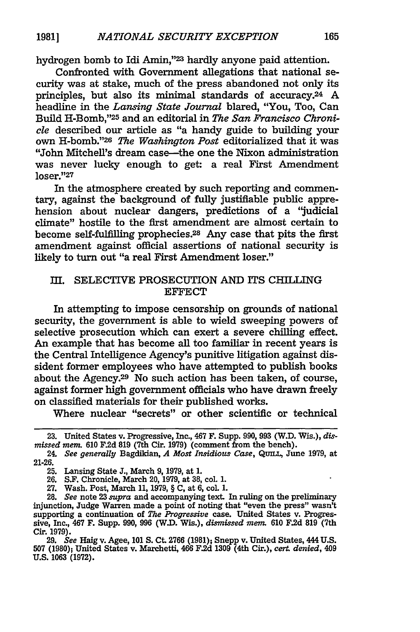hydrogen bomb to Idi Amin,"<sup>23</sup> hardly anyone paid attention.

Confronted with Government allegations that national security was at stake, much of the press abandoned not only its principles, but also its minimal standards of accuracy.24 A headline in the *Lansing State Journal* blared, "You, Too, Can Build H-Bomb,"25 and an editorial in *The San Francisco Chronicle* described our article as "a handy guide to building your own H-bomb."26 *The Washington Post* editorialized that it was "John Mitchell's dream case-the one the Nixon administration was never lucky enough to get: a real First Amendment loser."27

In the atmosphere created **by** such reporting and commentary, against the background of fully justifiable public apprehension about nuclear dangers, predictions of a "judicial climate" hostile to the first amendment are almost certain to become self-fulfilling prophecies.28 Any case that pits the first amendment against official assertions of national security is likely to turn out "a real First Amendment loser."

#### III. SELECTIVE PROSECUTION AND ITS CHILLING **EFFECT**

In attempting to impose censorship on grounds of national security, the government is able to wield sweeping powers of selective prosecution which can exert a severe chilling effect. An example that has become all too familiar in recent years is the Central Intelligence Agency's punitive litigation against dissident former employees who have attempted to publish books about the Agency.<sup>29</sup> No such action has been taken, of course, against former high government officials who have drawn freely on classified materials for their published works.

Where nuclear "secrets" or other scientific or technical

29. *See* Haig v. Agee, **101** *S.* Ct. **2766** (1981); Snepp v. United States, 444 U.S. **507** (1980); United States v. Marchetti, 466 F.2d **1309** (4th Cir.), *cert. denied,* 409 **U.S. 1063** (1972).

<sup>23.</sup> United States v. Progressive, Inc., 467 F. Supp. 990, 993 (W.D. Wis.), dis*missed mem.* **610** F.2d **819** (7th Cir. **1979)** (comment from the bench).

<sup>24.</sup> *See generally* Bagdikian, *A Most Insidious Case,* **QUmL,** June 1979, at 21-26.

**<sup>25.</sup>** Lansing State J., March 9, 1979, at 1.

<sup>26.</sup> S.F. Chronicle, March 20, 1979, at **38,** col. 1.

<sup>27.</sup> Wash. Post, March 11, 1979, § C, at 6, col 1.

<sup>28.</sup> *See* note 23 *supra* and accompanying text. In ruling on the preliminary injunction, Judge Warren made a point of noting that "even the press" wasn't supporting a continuation of *The Progressive* case. United States v. Progressive, Inc., 467 F. Supp. 990, 996 (WD. Wis.), *dismissed mem.* 610 F.2d 819 (7th Cir. 1979).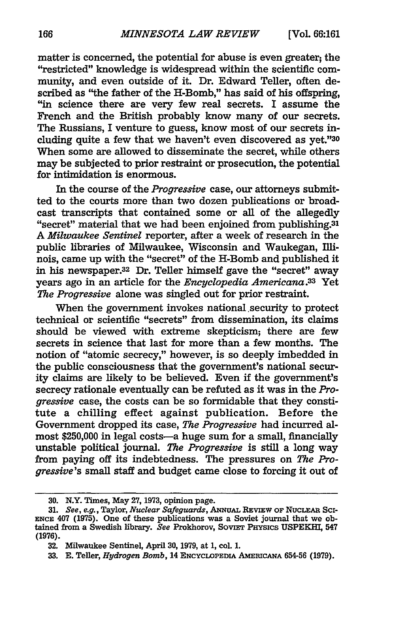matter is concerned, the potential for abuse is even greater; the "restricted" knowledge is widespread within the scientific community, and even outside of it. Dr. Edward Teller, often described as "the father of the H-Bomb," has said of his offspring, "in science there are very few real secrets. **I** assume the French and the British probably know many of our secrets. The Russians, I venture to guess, know most of our secrets including quite a few that we haven't even discovered as yet."30 When some are allowed to disseminate the secret, while others may be subjected to prior restraint or prosecution, the potential for intimidation is enormous.

In the course of the *Progressive* case, our attorneys submitted to the courts more than two dozen publications or broad-<br>cast transcripts that contained some or all of the allegedly "secret" material that we had been enjoined from publishing.<sup>31</sup> *A Milwaukee Sentinel* reporter, after a week of research in the public libraries of Milwaukee, Wisconsin and Waukegan, Illinois, came up with the "secret" of the H-Bomb and published it in his newspaper.32 Dr. Teller himself gave the "secret" away years ago in an article for the *Encyclopedia Americana.33* Yet *The Progressive* alone was singled out for prior restraint.

When the government invokes national security to protect technical or scientific "secrets" from dissemination, its claims should be viewed with extreme skepticism; there are few secrets in science that last for more than a few months. The notion of "atomic secrecy," however, is so deeply imbedded in the public consciousness that the government's national security claims are likely to be believed. Even if the government's secrecy rationale eventually can be refuted as it was in the *Progressive* case, the costs can be so formidable that they constitute a chilling effect against publication. Before the Government dropped its case, *The Progressive* had incurred almost \$250,000 in legal costs-a huge sum for a small, financially unstable political journal. *The Progressive* is still a long way from paying off its indebtedness. The pressures on *The Progressive's* small staff and budget came close to forcing it out of

**<sup>30.</sup>** N.Y. Times, May 27, 1973, opinion page.

<sup>31.</sup> See, e.g., Taylor, *Nuclear Safeguards*, ANNUAL REVIEW OF NUCLEAR SCI-ENCE 407 **(1975).** One of these publications was a Soviet journal that we obtained from a Swedish library. See Prokhorov, SOVIET PHYSICS USPEKHI, 547 **(1976).**

**<sup>32.</sup>** Milwaukee Sentinel, **April 30,** 1979, at **1,** coL **1.**

<sup>33.</sup> E. Teller, *Hydrogen Bomb*, 14 ENCYCLOPEDIA AMERICANA 654-56 (1979).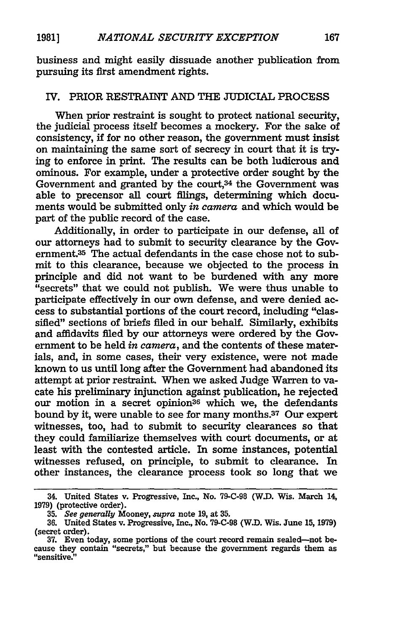business and might easily dissuade another publication from pursuing its first amendment rights.

#### IV. PRIOR RESTRAINT **AND** THE JUDICIAL PROCESS

When prior restraint is sought to protect national security, the judicial process itself becomes a mockery. For the sake of consistency, if for no other reason, the government must insist on maintaining the same sort of secrecy in court that it is trying to enforce in print. The results can be both ludicrous and ominous. For example, under a protective order sought by the Government and granted by the court,<sup>34</sup> the Government was able to precensor all court filings, determining which documents would be submitted only *in camera* and which would be part of the public record of the case.

Additionally, in order to participate in our defense, all of our attorneys had to submit to security clearance by the Government.35 The actual defendants in the case chose not to submit to this clearance, because we objected to the process in principle and did not want to be burdened with any more "secrets" that we could not publish. We were thus unable to participate effectively in our own defense, and were denied access to substantial portions of the court record, including "classified" sections of briefs filed in our behalf. Similarly, exhibits and affidavits filed by our attorneys were ordered by the Government to be held *in camera,* and the contents of these materials, and, in some cases, their very existence, were not made known to us until long after the Government had abandoned its attempt at prior restraint. When we asked Judge Warren to vacate his preliminary injunction against publication, he rejected our motion in a secret opinion<sup>36</sup> which we, the defendants bound by it, were unable to see for many months.37 Our expert witnesses, too, had to submit to security clearances so that they could familiarize themselves with court documents, or at least with the contested article. In some instances, potential witnesses refused, on principle, to submit to clearance. In other instances, the clearance process took so long that we

<sup>34.</sup> United States v. Progressive, Inc., No. **79-C-98 (W.D.** Wis. March **14, 1979)** (protective order).

**<sup>35.</sup>** *See generally* Mooney, *supra* note **19,** at **35.**

**<sup>36.</sup>** United States v. Progressive, Inc., No. **79-C-98** (W.D. Wis. June **15, 1979)** (secret order).

**<sup>37.</sup>** Even today, some portions of the court record remain sealed-not because they contain "secrets," but because the government regards them as "sensitive."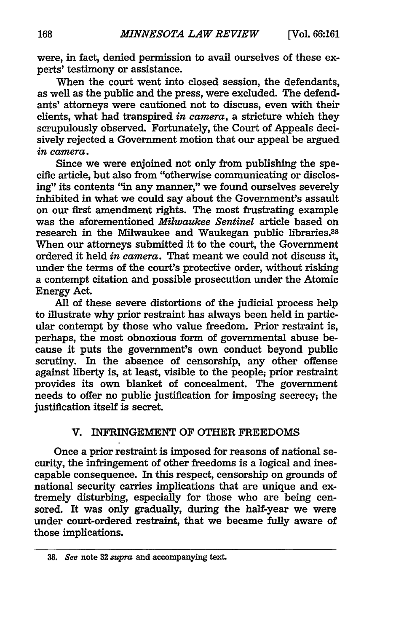were, in fact, denied permission to avail ourselves of these experts' testimony or assistance.

When the court went into closed session, the defendants, as well as the public and the press, were excluded. The defendants' attorneys were cautioned not to discuss, even with their clients, what had transpired *in camera,* a stricture which they scrupulously observed. Fortunately, the Court of Appeals decisively rejected a Government motion that our appeal be argued *in camera.*

Since we were enjoined not only from publishing the specific article, but also from "otherwise communicating or disclosing" its contents "in any manner," we found ourselves severely inhibited in what we could say about the Government's assault on our first amendment rights. The most frustrating example was the aforementioned *Milwaukee Sentinel* article based on research in the Milwaukee and Waukegan public libraries.38 When our attorneys submitted it to the court, the Government ordered it held *in camera.* That meant we could not discuss it, under the terms of the court's protective order, without risking a contempt citation and possible prosecution under the Atomic Energy Act.

All of these severe distortions of the judicial process help to illustrate why prior restraint has always been held in particular contempt by those who value freedom. Prior restraint is, perhaps, the most obnoxious form of governmental abuse because it puts the government's own conduct beyond public scrutiny. In the absence of censorship, any other offense against liberty is, at least, visible to the people; prior restraint provides its own blanket of concealment. The government needs to offer no public justification for imposing secrecy; the justification itself is secret.

#### V. INFRINGEMENT OF OTHER FREEDOMS

Once a prior restraint is imposed for reasons of national security, the infringement of other freedoms is a logical and inescapable consequence. In this respect, censorship on grounds of national security carries implications that are unique and extremely disturbing, especially for those who are being censored. It was only gradually, during the half-year we were under court-ordered restraint, that we became **fully** aware of those implications.

**<sup>38.</sup>** See note **32** supra and accompanying text.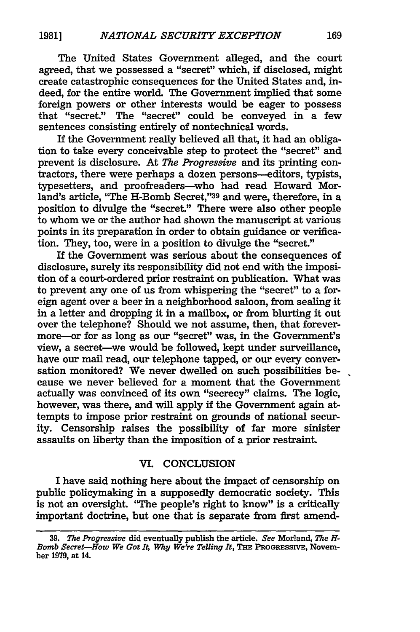The United States Government alleged, and the court agreed, that we possessed a "secret" which, **if** disclosed, might create catastrophic consequences for the United States and, indeed, for the entire world. The Government implied that some foreign powers or other interests would be eager to possess that "secret." The "secret" could be conveyed in a few sentences consisting entirely of nontechnical words.

If the Government really believed all that, it had an obligation to take every conceivable step to protect the "secret" and prevent is disclosure. At *The Progressive* and its printing contractors, there were perhaps a dozen persons--editors, typists, typesetters, and proofreaders-who had read Howard Morland's article, 'The H-Bomb Secret,"39 and were, therefore, in a position to divulge the "secret." There were also other people to whom we or the author had shown the manuscript at various points in its preparation in order to obtain guidance or verification. They, too, were in a position to divulge the "secret."

If the Government was serious about the consequences of disclosure, surely its responsibility did not end with the imposition of a court-ordered prior restraint on publication. What was to prevent any one of us from whispering the "secret" to a foreign agent over a beer in a neighborhood saloon, from sealing it in a letter and dropping it in a mailbox, or from blurting it out over the telephone? Should we not assume, then, that forevermore--or for as long as our "secret" was, in the Government's view, a secret-we would be followed, kept under surveillance, have our mail read, our telephone tapped, or our every conversation monitored? We never dwelled on such possibilities because we never believed for a moment that the Government actually was convinced of its own "secrecy" claims. The logic, however, was there, and will apply **if** the Government again attempts to impose prior restraint on grounds of national security. Censorship raises the possibility of far more sinister assaults on liberty than the imposition of a prior restraint.

#### VI. **CONCLUSION**

I have said nothing here about the impact of censorship on public policymaking in a supposedly democratic society. This is not an oversight. 'The people's right to know" is a critically important doctrine, but one that is separate from first amend-

**<sup>39.</sup>** *The Progressive* did eventually publish the article. *See* Morland, *The H-Bomb Secret-How We Got 1t Why We're Telling It,* THE PROGRESSIVE, November **1979,** at 14.